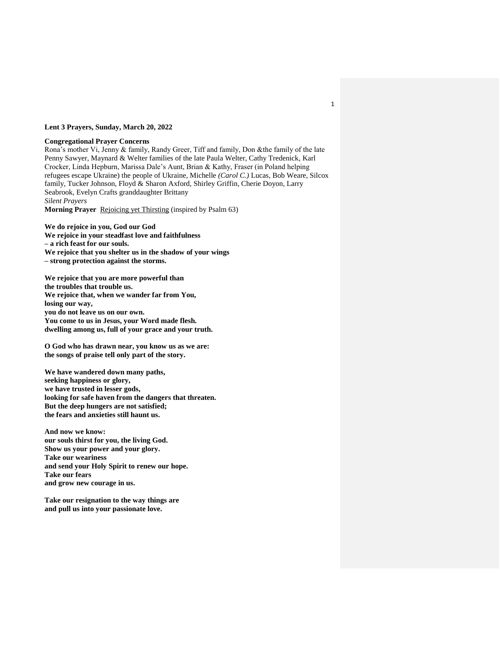## **Lent 3 Prayers, Sunday, March 20, 2022**

## **Congregational Prayer Concerns**

Rona's mother Vi, Jenny & family, Randy Greer, Tiff and family, Don &the family of the late Penny Sawyer, Maynard & Welter families of the late Paula Welter, Cathy Tredenick, Karl Crocker, Linda Hepburn, Marissa Dale's Aunt, Brian & Kathy, Fraser (in Poland helping refugees escape Ukraine) the people of Ukraine, Michelle *(Carol C.)* Lucas, Bob Weare, Silcox family, Tucker Johnson, Floyd & Sharon Axford, Shirley Griffin, Cherie Doyon, Larry Seabrook, Evelyn Crafts granddaughter Brittany *Silent Prayers*

**Morning Prayer** Rejoicing yet Thirsting (inspired by Psalm 63)

**We do rejoice in you, God our God We rejoice in your steadfast love and faithfulness – a rich feast for our souls. We rejoice that you shelter us in the shadow of your wings – strong protection against the storms.**

**We rejoice that you are more powerful than the troubles that trouble us. We rejoice that, when we wander far from You, losing our way, you do not leave us on our own. You come to us in Jesus, your Word made flesh. dwelling among us, full of your grace and your truth.**

**O God who has drawn near, you know us as we are: the songs of praise tell only part of the story.**

**We have wandered down many paths, seeking happiness or glory, we have trusted in lesser gods, looking for safe haven from the dangers that threaten. But the deep hungers are not satisfied; the fears and anxieties still haunt us.**

**And now we know: our souls thirst for you, the living God. Show us your power and your glory. Take our weariness and send your Holy Spirit to renew our hope. Take our fears and grow new courage in us.**

**Take our resignation to the way things are and pull us into your passionate love.**

1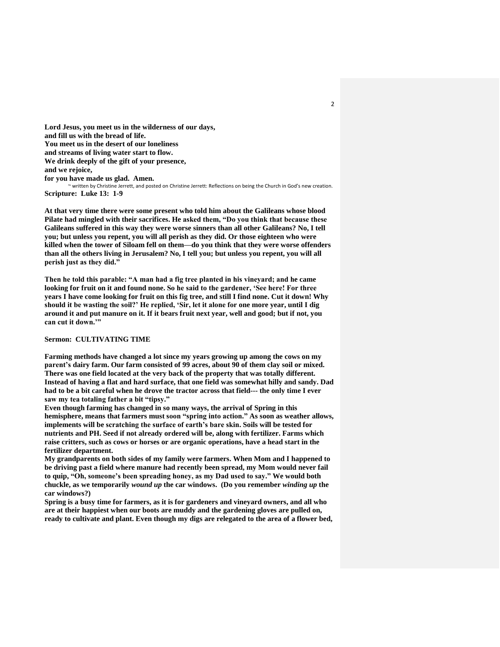**Lord Jesus, you meet us in the wilderness of our days, and fill us with the bread of life. You meet us in the desert of our loneliness and streams of living water start to flow. We drink deeply of the gift of your presence, and we rejoice, for you have made us glad. Amen.** ~ written by Christine Jerrett, and posted on Christine Jerrett: Reflections on being the Church in God's new creation. **Scripture: Luke 13: 1-9**

**At that very time there were some present who told him about the Galileans whose blood Pilate had mingled with their sacrifices. He asked them, "Do you think that because these Galileans suffered in this way they were worse sinners than all other Galileans? No, I tell you; but unless you repent, you will all perish as they did. Or those eighteen who were killed when the tower of Siloam fell on them—do you think that they were worse offenders than all the others living in Jerusalem? No, I tell you; but unless you repent, you will all perish just as they did."**

**Then he told this parable: "A man had a fig tree planted in his vineyard; and he came looking for fruit on it and found none. So he said to the gardener, 'See here! For three years I have come looking for fruit on this fig tree, and still I find none. Cut it down! Why should it be wasting the soil?' He replied, 'Sir, let it alone for one more year, until I dig around it and put manure on it. If it bears fruit next year, well and good; but if not, you can cut it down.'"**

## **Sermon: CULTIVATING TIME**

**Farming methods have changed a lot since my years growing up among the cows on my parent's dairy farm. Our farm consisted of 99 acres, about 90 of them clay soil or mixed. There was one field located at the very back of the property that was totally different. Instead of having a flat and hard surface, that one field was somewhat hilly and sandy. Dad had to be a bit careful when he drove the tractor across that field--- the only time I ever saw my tea totaling father a bit "tipsy."**

**Even though farming has changed in so many ways, the arrival of Spring in this hemisphere, means that farmers must soon "spring into action." As soon as weather allows, implements will be scratching the surface of earth's bare skin. Soils will be tested for nutrients and PH. Seed if not already ordered will be, along with fertilizer. Farms which raise critters, such as cows or horses or are organic operations, have a head start in the fertilizer department.**

**My grandparents on both sides of my family were farmers. When Mom and I happened to be driving past a field where manure had recently been spread, my Mom would never fail to quip, "Oh, someone's been spreading honey, as my Dad used to say." We would both chuckle, as we temporarily** *wound up* **the car windows. (Do you remember** *winding up* **the car windows?)**

**Spring is a busy time for farmers, as it is for gardeners and vineyard owners, and all who are at their happiest when our boots are muddy and the gardening gloves are pulled on, ready to cultivate and plant. Even though my digs are relegated to the area of a flower bed,**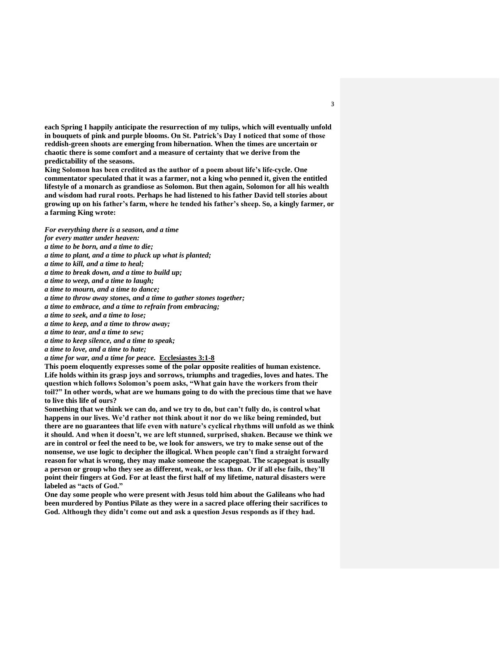**each Spring I happily anticipate the resurrection of my tulips, which will eventually unfold in bouquets of pink and purple blooms. On St. Patrick's Day I noticed that some of those reddish-green shoots are emerging from hibernation. When the times are uncertain or chaotic there is some comfort and a measure of certainty that we derive from the predictability of the seasons.**

**King Solomon has been credited as the author of a poem about life's life-cycle. One commentator speculated that it was a farmer, not a king who penned it, given the entitled lifestyle of a monarch as grandiose as Solomon. But then again, Solomon for all his wealth and wisdom had rural roots. Perhaps he had listened to his father David tell stories about growing up on his father's farm, where he tended his father's sheep. So, a kingly farmer, or a farming King wrote:**

*For everything there is a season, and a time* 

- *for every matter under heaven:*
- *a time to be born, and a time to die;*
- *a time to plant, and a time to pluck up what is planted;*
- *a time to kill, and a time to heal;*
- *a time to break down, and a time to build up;*
- *a time to weep, and a time to laugh;*
- *a time to mourn, and a time to dance;*
- *a time to throw away stones, and a time to gather stones together;*
- *a time to embrace, and a time to refrain from embracing;*
- *a time to seek, and a time to lose;*
- *a time to keep, and a time to throw away;*
- *a time to tear, and a time to sew;*
- *a time to keep silence, and a time to speak;*
- *a time to love, and a time to hate;*
- *a time for war, and a time for peace.* **Ecclesiastes 3:1-8**

**This poem eloquently expresses some of the polar opposite realities of human existence. Life holds within its grasp joys and sorrows, triumphs and tragedies, loves and hates. The question which follows Solomon's poem asks, "What gain have the workers from their toil?" In other words, what are we humans going to do with the precious time that we have to live this life of ours?**

**Something that we think we can do, and we try to do, but can't fully do, is control what happens in our lives. We'd rather not think about it nor do we like being reminded, but there are no guarantees that life even with nature's cyclical rhythms will unfold as we think it should. And when it doesn't, we are left stunned, surprised, shaken. Because we think we are in control or feel the need to be, we look for answers, we try to make sense out of the nonsense, we use logic to decipher the illogical. When people can't find a straight forward reason for what is wrong, they may make someone the scapegoat. The scapegoat is usually a person or group who they see as different, weak, or less than. Or if all else fails, they'll point their fingers at God. For at least the first half of my lifetime, natural disasters were labeled as "acts of God."**

**One day some people who were present with Jesus told him about the Galileans who had been murdered by Pontius Pilate as they were in a sacred place offering their sacrifices to God. Although they didn't come out and ask a question Jesus responds as if they had.** 

3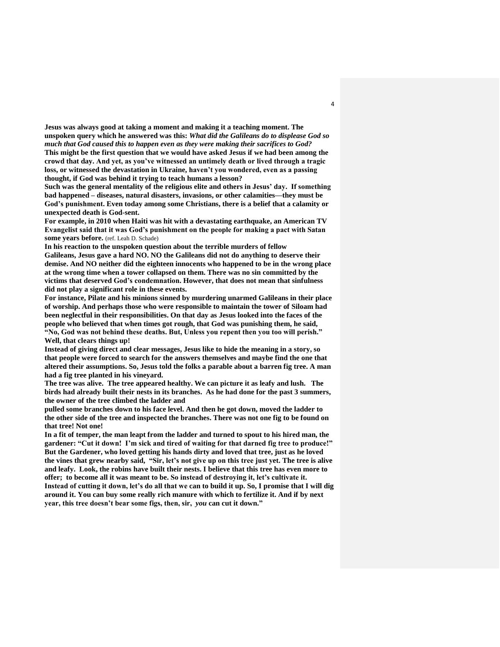**Jesus was always good at taking a moment and making it a teaching moment. The unspoken query which he answered was this:** *What did the Galileans do to displease God so much that God caused this to happen even as they were making their sacrifices to God?* **This might be the first question that we would have asked Jesus if we had been among the crowd that day. And yet, as you've witnessed an untimely death or lived through a tragic loss, or witnessed the devastation in Ukraine, haven't you wondered, even as a passing thought, if God was behind it trying to teach humans a lesson?**

**Such was the general mentality of the religious elite and others in Jesus' day. If something bad happened – diseases, natural disasters, invasions, or other calamities—they must be God's punishment. Even today among some Christians, there is a belief that a calamity or unexpected death is God-sent.**

**For example, in 2010 when Haiti was hit with a devastating earthquake, an American TV Evangelist said that it was God's punishment on the people for making a pact with Satan some years before.** (ref. Leah D. Schade)

**In his reaction to the unspoken question about the terrible murders of fellow Galileans, Jesus gave a hard NO. NO the Galileans did not do anything to deserve their demise. And NO neither did the eighteen innocents who happened to be in the wrong place at the wrong time when a tower collapsed on them. There was no sin committed by the victims that deserved God's condemnation. However, that does not mean that sinfulness did not play a significant role in these events.**

**For instance, Pilate and his minions sinned by murdering unarmed Galileans in their place of worship. And perhaps those who were responsible to maintain the tower of Siloam had been neglectful in their responsibilities. On that day as Jesus looked into the faces of the people who believed that when times got rough, that God was punishing them, he said, "No, God was not behind these deaths. But, Unless you repent then you too will perish." Well, that clears things up!** 

**Instead of giving direct and clear messages, Jesus like to hide the meaning in a story, so that people were forced to search for the answers themselves and maybe find the one that altered their assumptions. So, Jesus told the folks a parable about a barren fig tree. A man had a fig tree planted in his vineyard.**

**The tree was alive. The tree appeared healthy. We can picture it as leafy and lush. The birds had already built their nests in its branches. As he had done for the past 3 summers, the owner of the tree climbed the ladder and**

**pulled some branches down to his face level. And then he got down, moved the ladder to the other side of the tree and inspected the branches. There was not one fig to be found on that tree! Not one!**

**In a fit of temper, the man leapt from the ladder and turned to spout to his hired man, the gardener: "Cut it down! I'm sick and tired of waiting for that darned fig tree to produce!" But the Gardener, who loved getting his hands dirty and loved that tree, just as he loved the vines that grew nearby said, "Sir, let's not give up on this tree just yet. The tree is alive and leafy. Look, the robins have built their nests. I believe that this tree has even more to offer; to become all it was meant to be. So instead of destroying it, let's cultivate it. Instead of cutting it down, let's do all that we can to build it up. So, I promise that I will dig around it. You can buy some really rich manure with which to fertilize it. And if by next year, this tree doesn't bear some figs, then, sir,** *you* **can cut it down."**

4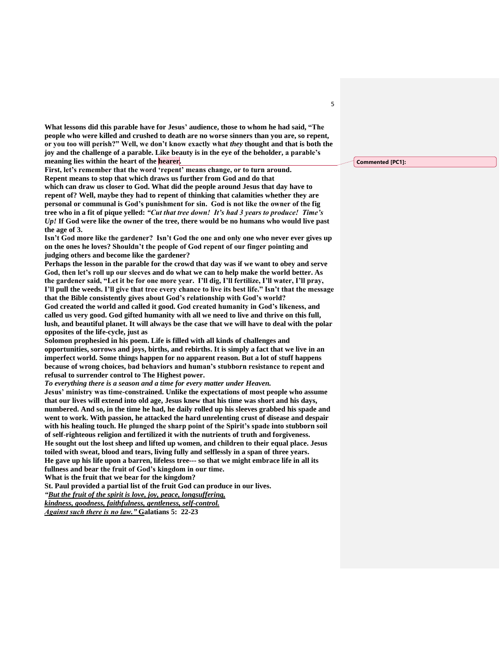**What lessons did this parable have for Jesus' audience, those to whom he had said, "The people who were killed and crushed to death are no worse sinners than you are, so repent, or you too will perish?" Well, we don't know exactly what** *they* **thought and that is both the joy and the challenge of a parable. Like beauty is in the eye of the beholder, a parable's meaning lies within the heart of the hearer.**

**First, let's remember that the word 'repent' means change, or to turn around. Repent means to stop that which draws us further from God and do that which can draw us closer to God. What did the people around Jesus that day have to repent of? Well, maybe they had to repent of thinking that calamities whether they are personal or communal is God's punishment for sin. God is not like the owner of the fig tree who in a fit of pique yelled:** *"Cut that tree down! It's had 3 years to produce! Time's Up!* **If God were like the owner of the tree, there would be no humans who would live past the age of 3.**

**Isn't God more like the gardener? Isn't God the one and only one who never ever gives up on the ones he loves? Shouldn't the people of God repent of our finger pointing and judging others and become like the gardener?**

**Perhaps the lesson in the parable for the crowd that day was if we want to obey and serve God, then let's roll up our sleeves and do what we can to help make the world better. As the gardener said, "Let it be for one more year. I'll dig, I'll fertilize, I'll water, I'll pray, I'll pull the weeds. I'll give that tree every chance to live its best life." Isn't that the message that the Bible consistently gives about God's relationship with God's world?**

**God created the world and called it good. God created humanity in God's likeness, and called us very good. God gifted humanity with all we need to live and thrive on this full, lush, and beautiful planet. It will always be the case that we will have to deal with the polar opposites of the life-cycle, just as** 

**Solomon prophesied in his poem. Life is filled with all kinds of challenges and opportunities, sorrows and joys, births, and rebirths. It is simply a fact that we live in an imperfect world. Some things happen for no apparent reason. But a lot of stuff happens because of wrong choices, bad behaviors and human's stubborn resistance to repent and refusal to surrender control to The Highest power.**

*To everything there is a season and a time for every matter under Heaven.*

**Jesus' ministry was time-constrained. Unlike the expectations of most people who assume that our lives will extend into old age, Jesus knew that his time was short and his days, numbered. And so, in the time he had, he daily rolled up his sleeves grabbed his spade and went to work. With passion, he attacked the hard unrelenting crust of disease and despair with his healing touch. He plunged the sharp point of the Spirit's spade into stubborn soil of self-righteous religion and fertilized it with the nutrients of truth and forgiveness. He sought out the lost sheep and lifted up women, and children to their equal place. Jesus toiled with sweat, blood and tears, living fully and selflessly in a span of three years. He gave up his life upon a barren, lifeless tree--- so that we might embrace life in all its fullness and bear the fruit of God's kingdom in our time.**

**What is the fruit that we bear for the kingdom?**

**St. Paul provided a partial list of the fruit God can produce in our lives.**

*"But the fruit of the spirit is love, joy, peace, longsuffering,*

*kindness, goodness, faithfulness, gentleness, self-control.*

*Against such there is no law."* **Galatians 5: 22-23**

**Commented [PC1]:**